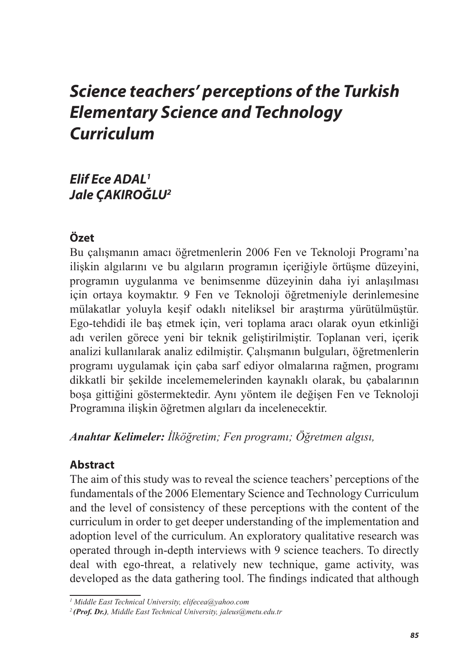# *Science teachers' perceptions of the Turkish Elementary Science and Technology Curriculum*

# *Elif Ece ADAL1 Jale ÇAKIROĞLU2*

# **Özet**

Bu çalışmanın amacı öğretmenlerin 2006 Fen ve Teknoloji Programı'na ilişkin algılarını ve bu algıların programın içeriğiyle örtüşme düzeyini, programın uygulanma ve benimsenme düzeyinin daha iyi anlaşılması için ortaya koymaktır. 9 Fen ve Teknoloji öğretmeniyle derinlemesine mülakatlar yoluyla keşif odaklı niteliksel bir araştırma yürütülmüştür. Ego-tehdidi ile baş etmek için, veri toplama aracı olarak oyun etkinliği adı verilen görece yeni bir teknik geliştirilmiştir. Toplanan veri, içerik analizi kullanılarak analiz edilmiştir. Çalışmanın bulguları, öğretmenlerin programı uygulamak için çaba sarf ediyor olmalarına rağmen, programı dikkatli bir şekilde incelememelerinden kaynaklı olarak, bu çabalarının boşa gittiğini göstermektedir. Aynı yöntem ile değişen Fen ve Teknoloji Programına ilişkin öğretmen algıları da incelenecektir.

*Anahtar Kelimeler: İlköğretim; Fen programı; Öğretmen algısı,*

# **Abstract**

The aim of this study was to reveal the science teachers' perceptions of the fundamentals of the 2006 Elementary Science and Technology Curriculum and the level of consistency of these perceptions with the content of the curriculum in order to get deeper understanding of the implementation and adoption level of the curriculum. An exploratory qualitative research was operated through in-depth interviews with 9 science teachers. To directly deal with ego-threat, a relatively new technique, game activity, was developed as the data gathering tool. The findings indicated that although

*<sup>1</sup> Middle East Technical University, elifecea@yahoo.com*

*<sup>2</sup> (Prof. Dr.), Middle East Technical University, jaleus@metu.edu.tr*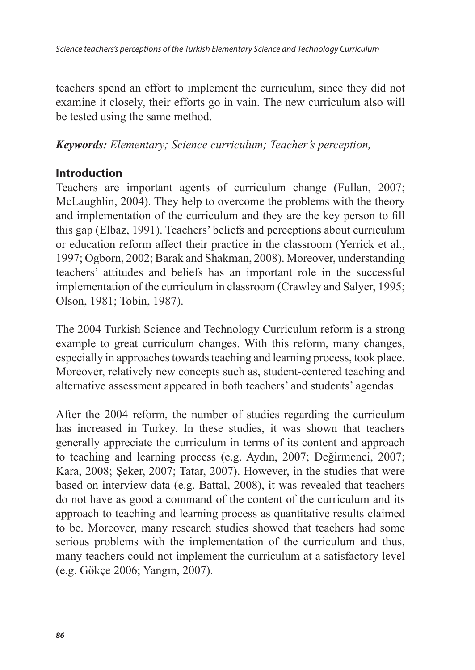teachers spend an effort to implement the curriculum, since they did not examine it closely, their efforts go in vain. The new curriculum also will be tested using the same method.

#### *Keywords: Elementary; Science curriculum; Teacher's perception,*

### **Introduction**

Teachers are important agents of curriculum change (Fullan, 2007; McLaughlin, 2004). They help to overcome the problems with the theory and implementation of the curriculum and they are the key person to fill this gap (Elbaz, 1991). Teachers' beliefs and perceptions about curriculum or education reform affect their practice in the classroom (Yerrick et al., 1997; Ogborn, 2002; Barak and Shakman, 2008). Moreover, understanding teachers' attitudes and beliefs has an important role in the successful implementation of the curriculum in classroom (Crawley and Salyer, 1995; Olson, 1981; Tobin, 1987).

The 2004 Turkish Science and Technology Curriculum reform is a strong example to great curriculum changes. With this reform, many changes, especially in approaches towards teaching and learning process, took place. Moreover, relatively new concepts such as, student-centered teaching and alternative assessment appeared in both teachers' and students' agendas.

After the 2004 reform, the number of studies regarding the curriculum has increased in Turkey. In these studies, it was shown that teachers generally appreciate the curriculum in terms of its content and approach to teaching and learning process (e.g. Aydın, 2007; Değirmenci, 2007; Kara, 2008; Şeker, 2007; Tatar, 2007). However, in the studies that were based on interview data (e.g. Battal, 2008), it was revealed that teachers do not have as good a command of the content of the curriculum and its approach to teaching and learning process as quantitative results claimed to be. Moreover, many research studies showed that teachers had some serious problems with the implementation of the curriculum and thus, many teachers could not implement the curriculum at a satisfactory level (e.g. Gökçe 2006; Yangın, 2007).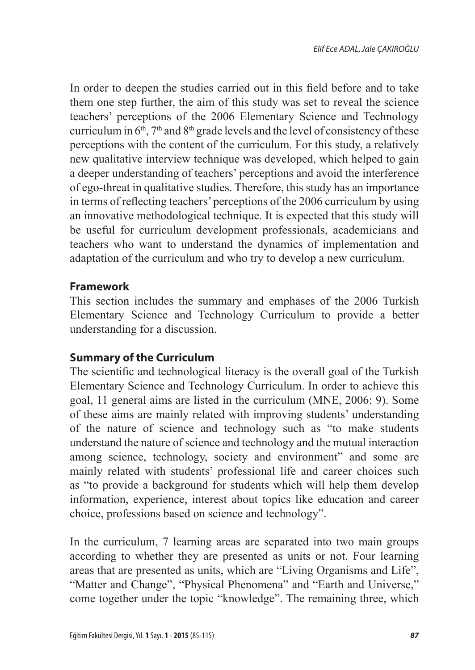In order to deepen the studies carried out in this field before and to take them one step further, the aim of this study was set to reveal the science teachers' perceptions of the 2006 Elementary Science and Technology curriculum in  $6<sup>th</sup>$ ,  $7<sup>th</sup>$  and  $8<sup>th</sup>$  grade levels and the level of consistency of these perceptions with the content of the curriculum. For this study, a relatively new qualitative interview technique was developed, which helped to gain a deeper understanding of teachers' perceptions and avoid the interference of ego-threat in qualitative studies. Therefore, this study has an importance in terms of reflecting teachers' perceptions of the 2006 curriculum by using an innovative methodological technique. It is expected that this study will be useful for curriculum development professionals, academicians and teachers who want to understand the dynamics of implementation and adaptation of the curriculum and who try to develop a new curriculum.

### **Framework**

This section includes the summary and emphases of the 2006 Turkish Elementary Science and Technology Curriculum to provide a better understanding for a discussion.

# **Summary of the Curriculum**

The scientific and technological literacy is the overall goal of the Turkish Elementary Science and Technology Curriculum. In order to achieve this goal, 11 general aims are listed in the curriculum (MNE, 2006: 9). Some of these aims are mainly related with improving students' understanding of the nature of science and technology such as "to make students understand the nature of science and technology and the mutual interaction among science, technology, society and environment" and some are mainly related with students' professional life and career choices such as "to provide a background for students which will help them develop information, experience, interest about topics like education and career choice, professions based on science and technology".

In the curriculum, 7 learning areas are separated into two main groups according to whether they are presented as units or not. Four learning areas that are presented as units, which are "Living Organisms and Life", "Matter and Change", "Physical Phenomena" and "Earth and Universe," come together under the topic "knowledge". The remaining three, which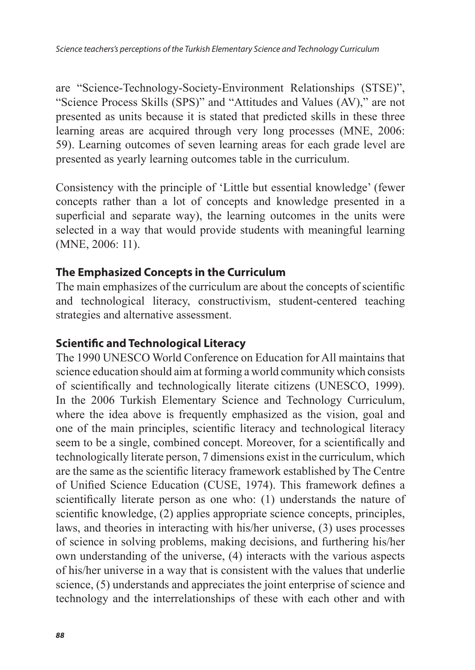are "Science-Technology-Society-Environment Relationships (STSE)", "Science Process Skills (SPS)" and "Attitudes and Values (AV)," are not presented as units because it is stated that predicted skills in these three learning areas are acquired through very long processes (MNE, 2006: 59). Learning outcomes of seven learning areas for each grade level are presented as yearly learning outcomes table in the curriculum.

Consistency with the principle of 'Little but essential knowledge' (fewer concepts rather than a lot of concepts and knowledge presented in a superficial and separate way), the learning outcomes in the units were selected in a way that would provide students with meaningful learning (MNE, 2006: 11).

### **The Emphasized Concepts in the Curriculum**

The main emphasizes of the curriculum are about the concepts of scientific and technological literacy, constructivism, student-centered teaching strategies and alternative assessment.

### **Scientific and Technological Literacy**

The 1990 UNESCO World Conference on Education for All maintains that science education should aim at forming a world community which consists of scientifically and technologically literate citizens (UNESCO, 1999). In the 2006 Turkish Elementary Science and Technology Curriculum, where the idea above is frequently emphasized as the vision, goal and one of the main principles, scientific literacy and technological literacy seem to be a single, combined concept. Moreover, for a scientifically and technologically literate person, 7 dimensions exist in the curriculum, which are the same as the scientific literacy framework established by The Centre of Unified Science Education (CUSE, 1974). This framework defines a scientifically literate person as one who: (1) understands the nature of scientific knowledge, (2) applies appropriate science concepts, principles, laws, and theories in interacting with his/her universe, (3) uses processes of science in solving problems, making decisions, and furthering his/her own understanding of the universe, (4) interacts with the various aspects of his/her universe in a way that is consistent with the values that underlie science, (5) understands and appreciates the joint enterprise of science and technology and the interrelationships of these with each other and with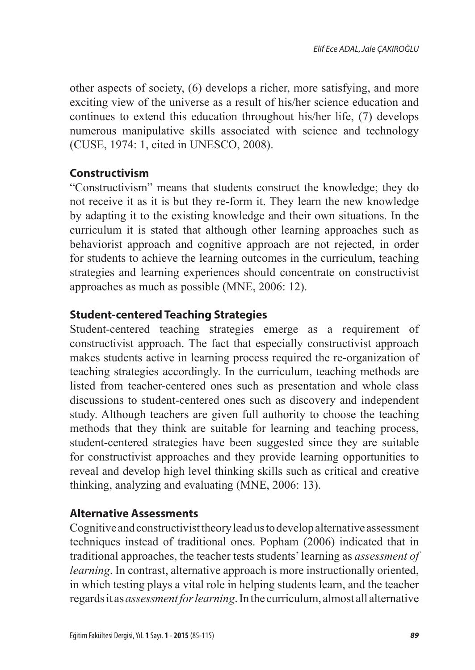other aspects of society, (6) develops a richer, more satisfying, and more exciting view of the universe as a result of his/her science education and continues to extend this education throughout his/her life, (7) develops numerous manipulative skills associated with science and technology (CUSE, 1974: 1, cited in UNESCO, 2008).

# **Constructivism**

"Constructivism" means that students construct the knowledge; they do not receive it as it is but they re-form it. They learn the new knowledge by adapting it to the existing knowledge and their own situations. In the curriculum it is stated that although other learning approaches such as behaviorist approach and cognitive approach are not rejected, in order for students to achieve the learning outcomes in the curriculum, teaching strategies and learning experiences should concentrate on constructivist approaches as much as possible (MNE, 2006: 12).

# **Student-centered Teaching Strategies**

Student-centered teaching strategies emerge as a requirement of constructivist approach. The fact that especially constructivist approach makes students active in learning process required the re-organization of teaching strategies accordingly. In the curriculum, teaching methods are listed from teacher-centered ones such as presentation and whole class discussions to student-centered ones such as discovery and independent study. Although teachers are given full authority to choose the teaching methods that they think are suitable for learning and teaching process, student-centered strategies have been suggested since they are suitable for constructivist approaches and they provide learning opportunities to reveal and develop high level thinking skills such as critical and creative thinking, analyzing and evaluating (MNE, 2006: 13).

# **Alternative Assessments**

Cognitive and constructivist theory lead us to develop alternative assessment techniques instead of traditional ones. Popham (2006) indicated that in traditional approaches, the teacher tests students' learning as *assessment of learning*. In contrast, alternative approach is more instructionally oriented, in which testing plays a vital role in helping students learn, and the teacher regards it as *assessment for learning*. In the curriculum, almost all alternative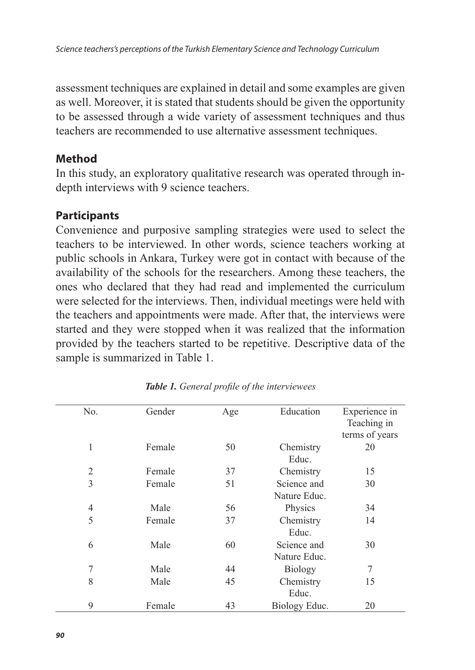assessment techniques are explained in detail and some examples are given as well. Moreover, it is stated that students should be given the opportunity to be assessed through a wide variety of assessment techniques and thus teachers are recommended to use alternative assessment techniques.

### **Method**

In this study, an exploratory qualitative research was operated through indepth interviews with 9 science teachers.

# **Participants**

Convenience and purposive sampling strategies were used to select the teachers to be interviewed. In other words, science teachers working at public schools in Ankara, Turkey were got in contact with because of the availability of the schools for the researchers. Among these teachers, the ones who declared that they had read and implemented the curriculum were selected for the interviews. Then, individual meetings were held with the teachers and appointments were made. After that, the interviews were started and they were stopped when it was realized that the information provided by the teachers started to be repetitive. Descriptive data of the sample is summarized in Table 1.

| No.            | Gender | Age | Education      | Experience in<br>Teaching in |
|----------------|--------|-----|----------------|------------------------------|
|                |        |     |                | terms of years               |
|                |        |     |                |                              |
| 1              | Female | 50  | Chemistry      | 20                           |
|                |        |     | Educ.          |                              |
| $\overline{2}$ | Female | 37  | Chemistry      | 15                           |
| 3              | Female | 51  | Science and    | 30                           |
|                |        |     | Nature Educ.   |                              |
| 4              | Male   | 56  | Physics        | 34                           |
| 5              | Female | 37  | Chemistry      | 14                           |
|                |        |     | Educ.          |                              |
| 6              | Male   | 60  | Science and    | 30                           |
|                |        |     | Nature Educ.   |                              |
| 7              | Male   | 44  | <b>Biology</b> | 7                            |
| 8              | Male   | 45  | Chemistry      | 15                           |
|                |        |     | Educ.          |                              |
| 9              | Female | 43  | Biology Educ.  | 20                           |

*Table 1. General profile of the interviewees*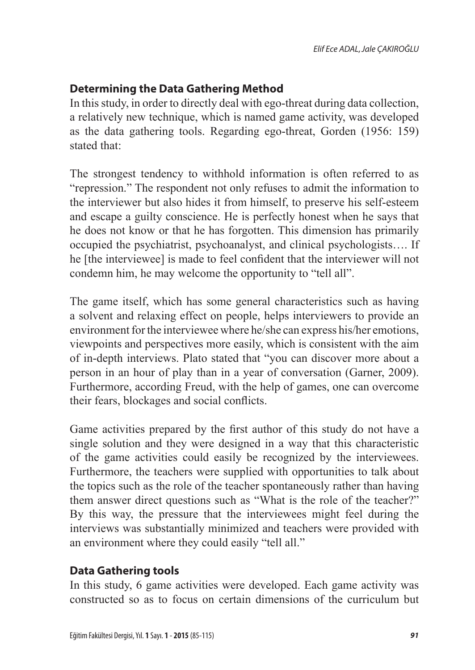# **Determining the Data Gathering Method**

In this study, in order to directly deal with ego-threat during data collection, a relatively new technique, which is named game activity, was developed as the data gathering tools. Regarding ego-threat, Gorden (1956: 159) stated that:

The strongest tendency to withhold information is often referred to as "repression." The respondent not only refuses to admit the information to the interviewer but also hides it from himself, to preserve his self-esteem and escape a guilty conscience. He is perfectly honest when he says that he does not know or that he has forgotten. This dimension has primarily occupied the psychiatrist, psychoanalyst, and clinical psychologists…. If he [the interviewee] is made to feel confident that the interviewer will not condemn him, he may welcome the opportunity to "tell all".

The game itself, which has some general characteristics such as having a solvent and relaxing effect on people, helps interviewers to provide an environment for the interviewee where he/she can express his/her emotions, viewpoints and perspectives more easily, which is consistent with the aim of in-depth interviews. Plato stated that "you can discover more about a person in an hour of play than in a year of conversation (Garner, 2009). Furthermore, according Freud, with the help of games, one can overcome their fears, blockages and social conflicts.

Game activities prepared by the first author of this study do not have a single solution and they were designed in a way that this characteristic of the game activities could easily be recognized by the interviewees. Furthermore, the teachers were supplied with opportunities to talk about the topics such as the role of the teacher spontaneously rather than having them answer direct questions such as "What is the role of the teacher?" By this way, the pressure that the interviewees might feel during the interviews was substantially minimized and teachers were provided with an environment where they could easily "tell all."

### **Data Gathering tools**

In this study, 6 game activities were developed. Each game activity was constructed so as to focus on certain dimensions of the curriculum but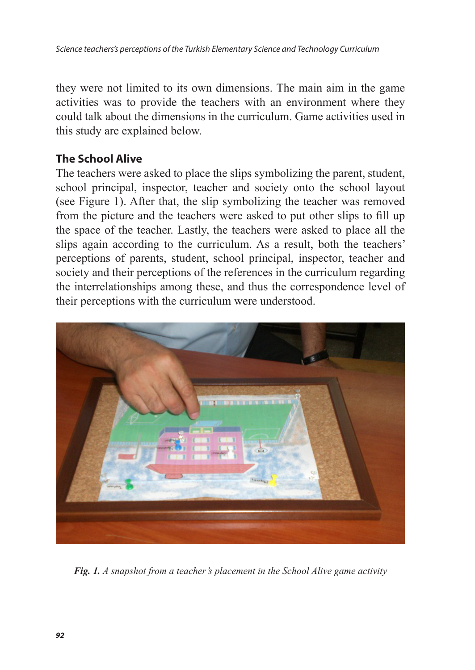*Science teachers's perceptions of the Turkish Elementary Science and Technology Curriculum*

they were not limited to its own dimensions. The main aim in the game activities was to provide the teachers with an environment where they could talk about the dimensions in the curriculum. Game activities used in this study are explained below.

### **The School Alive**

The teachers were asked to place the slips symbolizing the parent, student, school principal, inspector, teacher and society onto the school layout (see Figure 1). After that, the slip symbolizing the teacher was removed from the picture and the teachers were asked to put other slips to fill up the space of the teacher. Lastly, the teachers were asked to place all the slips again according to the curriculum. As a result, both the teachers' perceptions of parents, student, school principal, inspector, teacher and society and their perceptions of the references in the curriculum regarding the interrelationships among these, and thus the correspondence level of their perceptions with the curriculum were understood.



*Fig. 1. A snapshot from a teacher's placement in the School Alive game activity*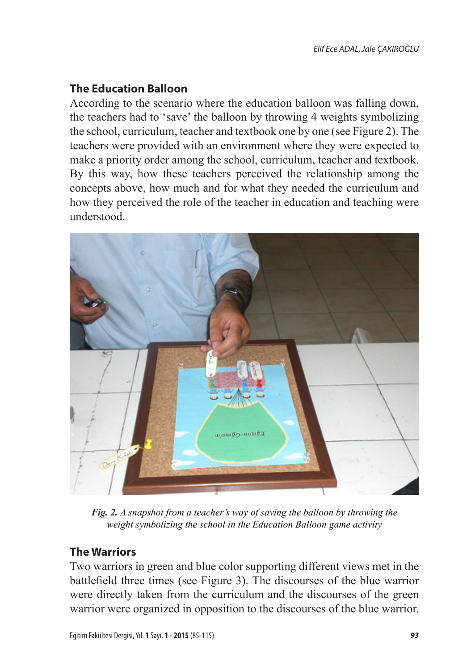# **The Education Balloon**

According to the scenario where the education balloon was falling down, the teachers had to 'save' the balloon by throwing 4 weights symbolizing the school, curriculum, teacher and textbook one by one (see Figure 2). The teachers were provided with an environment where they were expected to make a priority order among the school, curriculum, teacher and textbook. By this way, how these teachers perceived the relationship among the concepts above, how much and for what they needed the curriculum and how they perceived the role of the teacher in education and teaching were understood.



*Fig. 2. A snapshot from a teacher's way of saving the balloon by throwing the weight symbolizing the school in the Education Balloon game activity*

# **The Warriors**

Two warriors in green and blue color supporting different views met in the battlefield three times (see Figure 3). The discourses of the blue warrior were directly taken from the curriculum and the discourses of the green warrior were organized in opposition to the discourses of the blue warrior.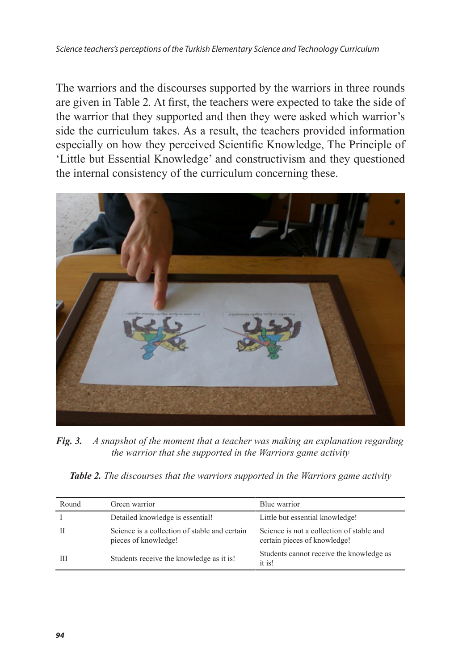The warriors and the discourses supported by the warriors in three rounds are given in Table 2*.* At first, the teachers were expected to take the side of the warrior that they supported and then they were asked which warrior's side the curriculum takes. As a result, the teachers provided information especially on how they perceived Scientific Knowledge, The Principle of 'Little but Essential Knowledge' and constructivism and they questioned the internal consistency of the curriculum concerning these.



*Fig. 3. A snapshot of the moment that a teacher was making an explanation regarding the warrior that she supported in the Warriors game activity*

*Table 2. The discourses that the warriors supported in the Warriors game activity* 

| Round | Green warrior                                                         | Blue warrior                                                              |
|-------|-----------------------------------------------------------------------|---------------------------------------------------------------------------|
|       | Detailed knowledge is essential!                                      | Little but essential knowledge!                                           |
| Н     | Science is a collection of stable and certain<br>pieces of knowledge! | Science is not a collection of stable and<br>certain pieces of knowledge! |
| Ш     | Students receive the knowledge as it is!                              | Students cannot receive the knowledge as<br>it is!                        |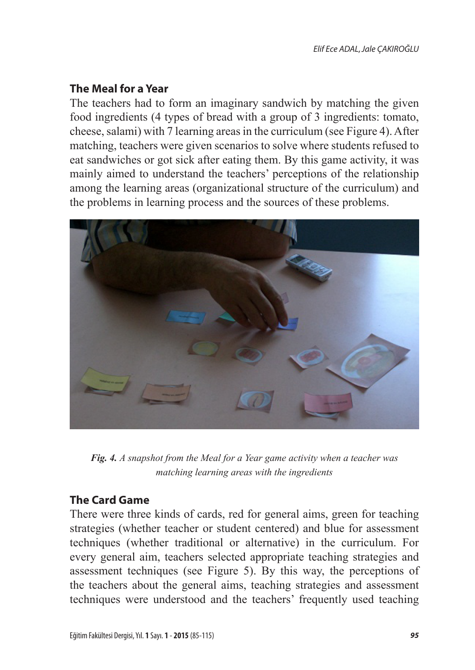## **The Meal for a Year**

The teachers had to form an imaginary sandwich by matching the given food ingredients (4 types of bread with a group of 3 ingredients: tomato, cheese, salami) with 7 learning areas in the curriculum (see Figure 4). After matching, teachers were given scenarios to solve where students refused to eat sandwiches or got sick after eating them. By this game activity, it was mainly aimed to understand the teachers' perceptions of the relationship among the learning areas (organizational structure of the curriculum) and the problems in learning process and the sources of these problems.



*Fig. 4. A snapshot from the Meal for a Year game activity when a teacher was matching learning areas with the ingredients*

# **The Card Game**

There were three kinds of cards, red for general aims, green for teaching strategies (whether teacher or student centered) and blue for assessment techniques (whether traditional or alternative) in the curriculum. For every general aim, teachers selected appropriate teaching strategies and assessment techniques (see Figure 5). By this way, the perceptions of the teachers about the general aims, teaching strategies and assessment techniques were understood and the teachers' frequently used teaching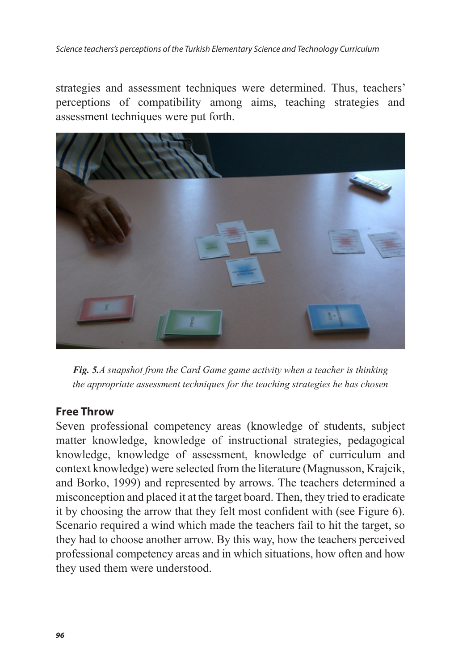strategies and assessment techniques were determined. Thus, teachers' perceptions of compatibility among aims, teaching strategies and assessment techniques were put forth.



*Fig. 5.A snapshot from the Card Game game activity when a teacher is thinking the appropriate assessment techniques for the teaching strategies he has chosen*

### **Free Throw**

Seven professional competency areas (knowledge of students, subject matter knowledge, knowledge of instructional strategies, pedagogical knowledge, knowledge of assessment, knowledge of curriculum and context knowledge) were selected from the literature (Magnusson, Krajcik, and Borko, 1999) and represented by arrows. The teachers determined a misconception and placed it at the target board. Then, they tried to eradicate it by choosing the arrow that they felt most confident with (see Figure 6). Scenario required a wind which made the teachers fail to hit the target, so they had to choose another arrow. By this way, how the teachers perceived professional competency areas and in which situations, how often and how they used them were understood.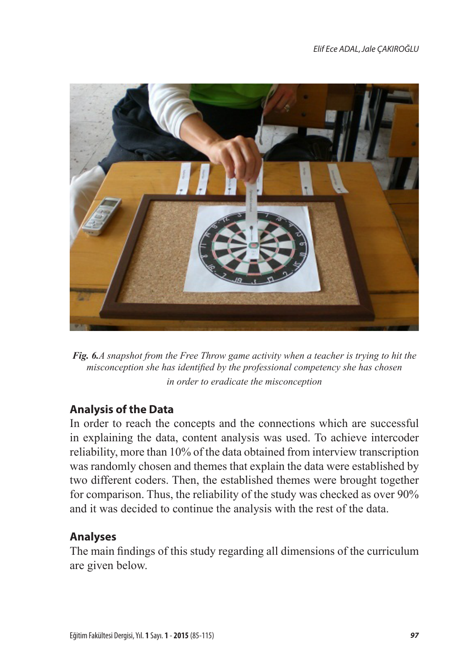

*Fig. 6.A snapshot from the Free Throw game activity when a teacher is trying to hit the misconception she has identified by the professional competency she has chosen in order to eradicate the misconception*

# **Analysis of the Data**

In order to reach the concepts and the connections which are successful in explaining the data, content analysis was used. To achieve intercoder reliability, more than 10% of the data obtained from interview transcription was randomly chosen and themes that explain the data were established by two different coders. Then, the established themes were brought together for comparison. Thus, the reliability of the study was checked as over 90% and it was decided to continue the analysis with the rest of the data.

### **Analyses**

The main findings of this study regarding all dimensions of the curriculum are given below.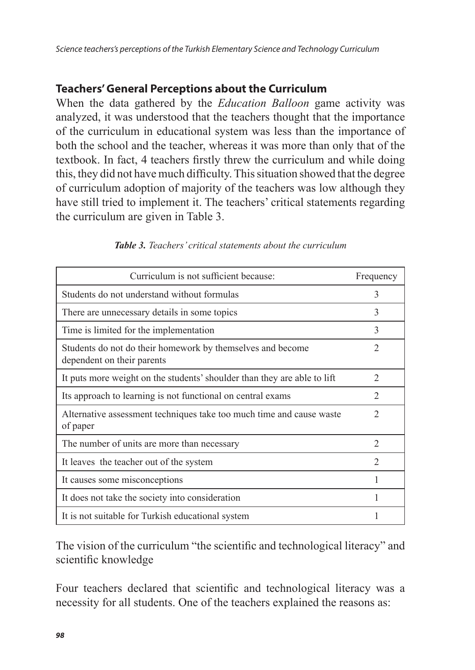## **Teachers' General Perceptions about the Curriculum**

When the data gathered by the *Education Balloon* game activity was analyzed, it was understood that the teachers thought that the importance of the curriculum in educational system was less than the importance of both the school and the teacher, whereas it was more than only that of the textbook. In fact, 4 teachers firstly threw the curriculum and while doing this, they did not have much difficulty. This situation showed that the degree of curriculum adoption of majority of the teachers was low although they have still tried to implement it. The teachers' critical statements regarding the curriculum are given in Table 3.

| Curriculum is not sufficient because:                                                    | Frequency      |
|------------------------------------------------------------------------------------------|----------------|
| Students do not understand without formulas                                              | 3              |
| There are unnecessary details in some topics                                             | 3              |
| Time is limited for the implementation                                                   | 3              |
| Students do not do their homework by themselves and become<br>dependent on their parents | $\overline{2}$ |
| It puts more weight on the students' shoulder than they are able to lift                 | $\mathfrak{D}$ |
| Its approach to learning is not functional on central exams                              | 2              |
| Alternative assessment techniques take too much time and cause waste<br>of paper         | 2              |
| The number of units are more than necessary                                              | $\mathfrak{D}$ |
| It leaves the teacher out of the system                                                  | $\mathfrak{D}$ |
| It causes some misconceptions                                                            |                |
| It does not take the society into consideration                                          |                |
| It is not suitable for Turkish educational system                                        |                |

#### *Table 3. Teachers' critical statements about the curriculum*

The vision of the curriculum "the scientific and technological literacy" and scientific knowledge

Four teachers declared that scientific and technological literacy was a necessity for all students. One of the teachers explained the reasons as: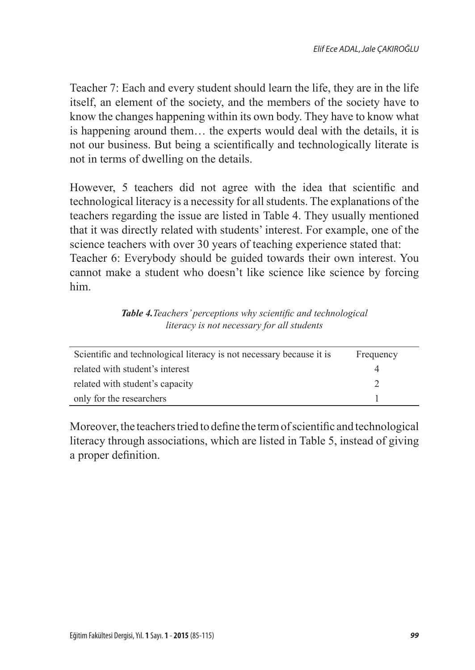Teacher 7: Each and every student should learn the life, they are in the life itself, an element of the society, and the members of the society have to know the changes happening within its own body. They have to know what is happening around them… the experts would deal with the details, it is not our business. But being a scientifically and technologically literate is not in terms of dwelling on the details.

However, 5 teachers did not agree with the idea that scientific and technological literacy is a necessity for all students. The explanations of the teachers regarding the issue are listed in Table 4. They usually mentioned that it was directly related with students' interest. For example, one of the science teachers with over 30 years of teaching experience stated that: Teacher 6: Everybody should be guided towards their own interest. You cannot make a student who doesn't like science like science by forcing him.

*Table 4.Teachers' perceptions why scientific and technological literacy is not necessary for all students*

| Scientific and technological literacy is not necessary because it is | Frequency |
|----------------------------------------------------------------------|-----------|
| related with student's interest                                      |           |
| related with student's capacity                                      |           |
| only for the researchers                                             |           |

Moreover, the teachers tried to define the term of scientific and technological literacy through associations, which are listed in Table 5, instead of giving a proper definition.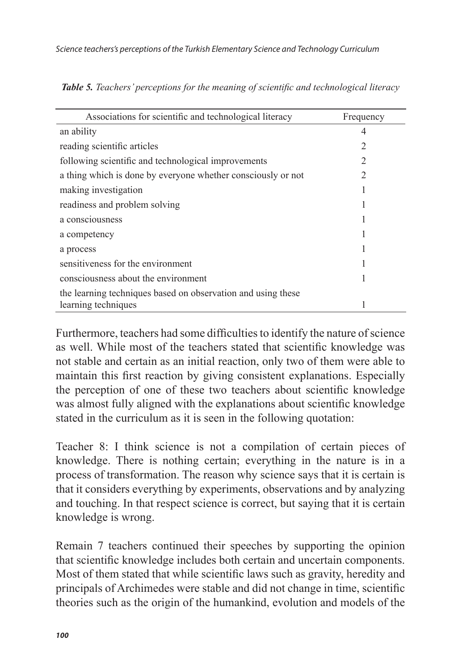| Associations for scientific and technological literacy       | Frequency |
|--------------------------------------------------------------|-----------|
| an ability                                                   |           |
| reading scientific articles                                  | 2         |
| following scientific and technological improvements          | 2         |
| a thing which is done by everyone whether consciously or not |           |
| making investigation                                         |           |
| readiness and problem solving                                |           |
| a consciousness                                              |           |
| a competency                                                 |           |
| a process                                                    |           |
| sensitiveness for the environment                            |           |
| consciousness about the environment                          |           |
| the learning techniques based on observation and using these |           |
| learning techniques                                          |           |

*Table 5. Teachers' perceptions for the meaning of scientific and technological literacy*

Furthermore, teachers had some difficulties to identify the nature of science as well. While most of the teachers stated that scientific knowledge was not stable and certain as an initial reaction, only two of them were able to maintain this first reaction by giving consistent explanations. Especially the perception of one of these two teachers about scientific knowledge was almost fully aligned with the explanations about scientific knowledge stated in the curriculum as it is seen in the following quotation:

Teacher 8: I think science is not a compilation of certain pieces of knowledge. There is nothing certain; everything in the nature is in a process of transformation. The reason why science says that it is certain is that it considers everything by experiments, observations and by analyzing and touching. In that respect science is correct, but saying that it is certain knowledge is wrong.

Remain 7 teachers continued their speeches by supporting the opinion that scientific knowledge includes both certain and uncertain components. Most of them stated that while scientific laws such as gravity, heredity and principals of Archimedes were stable and did not change in time, scientific theories such as the origin of the humankind, evolution and models of the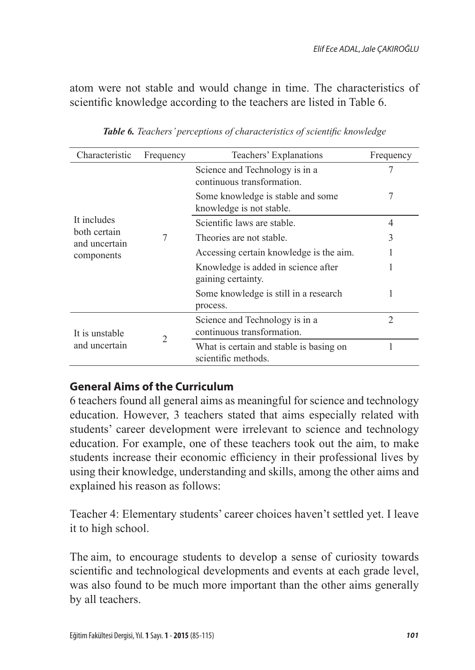atom were not stable and would change in time. The characteristics of scientific knowledge according to the teachers are listed in Table 6.

| Characteristic                | Frequency | Teachers' Explanations                                         | Frequency      |
|-------------------------------|-----------|----------------------------------------------------------------|----------------|
|                               |           | Science and Technology is in a<br>continuous transformation.   |                |
|                               |           | Some knowledge is stable and some<br>knowledge is not stable.  | 7              |
| It includes                   |           | Scientific laws are stable.                                    | 4              |
| both certain<br>and uncertain |           | Theories are not stable.                                       | 3              |
| components                    |           | Accessing certain knowledge is the aim.                        |                |
|                               |           | Knowledge is added in science after<br>gaining certainty.      |                |
|                               |           | Some knowledge is still in a research<br>process.              |                |
| It is unstable                |           | Science and Technology is in a<br>continuous transformation.   | $\mathfrak{D}$ |
| and uncertain                 | 2         | What is certain and stable is basing on<br>scientific methods. |                |

*Table 6. Teachers' perceptions of characteristics of scientific knowledge*

# **General Aims of the Curriculum**

6 teachers found all general aims as meaningful for science and technology education. However, 3 teachers stated that aims especially related with students' career development were irrelevant to science and technology education. For example, one of these teachers took out the aim, to make students increase their economic efficiency in their professional lives by using their knowledge, understanding and skills, among the other aims and explained his reason as follows:

Teacher 4: Elementary students' career choices haven't settled yet. I leave it to high school.

The aim, to encourage students to develop a sense of curiosity towards scientific and technological developments and events at each grade level, was also found to be much more important than the other aims generally by all teachers.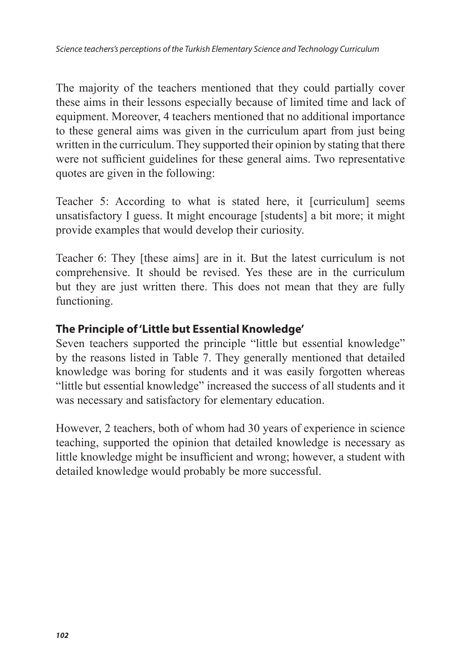The majority of the teachers mentioned that they could partially cover these aims in their lessons especially because of limited time and lack of equipment. Moreover, 4 teachers mentioned that no additional importance to these general aims was given in the curriculum apart from just being written in the curriculum. They supported their opinion by stating that there were not sufficient guidelines for these general aims. Two representative quotes are given in the following:

Teacher 5: According to what is stated here, it [curriculum] seems unsatisfactory I guess. It might encourage [students] a bit more; it might provide examples that would develop their curiosity.

Teacher 6: They [these aims] are in it. But the latest curriculum is not comprehensive. It should be revised. Yes these are in the curriculum but they are just written there. This does not mean that they are fully functioning.

## **The Principle of 'Little but Essential Knowledge'**

Seven teachers supported the principle "little but essential knowledge" by the reasons listed in Table 7. They generally mentioned that detailed knowledge was boring for students and it was easily forgotten whereas "little but essential knowledge" increased the success of all students and it was necessary and satisfactory for elementary education.

However, 2 teachers, both of whom had 30 years of experience in science teaching, supported the opinion that detailed knowledge is necessary as little knowledge might be insufficient and wrong; however, a student with detailed knowledge would probably be more successful.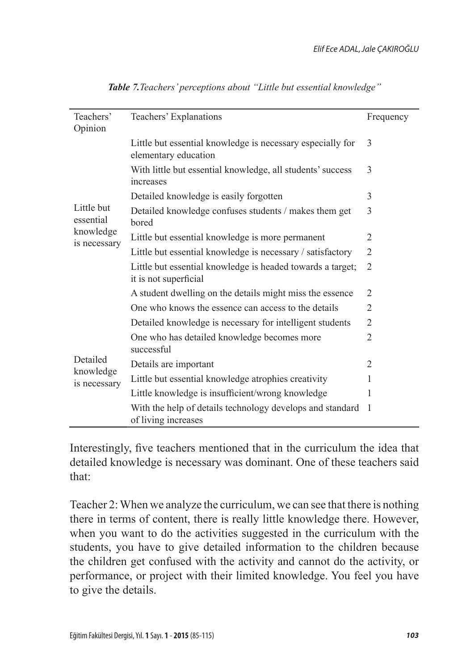| Teachers'<br>Opinion                  | Teachers' Explanations                                                              | Frequency      |
|---------------------------------------|-------------------------------------------------------------------------------------|----------------|
|                                       | Little but essential knowledge is necessary especially for<br>elementary education  | 3              |
|                                       | With little but essential knowledge, all students' success<br>increases             | 3              |
|                                       | Detailed knowledge is easily forgotten                                              | 3              |
| Little but<br>essential               | Detailed knowledge confuses students / makes them get<br>bored                      | 3              |
| knowledge<br>is necessary             | Little but essential knowledge is more permanent                                    | 2              |
|                                       | Little but essential knowledge is necessary / satisfactory                          | $\overline{2}$ |
|                                       | Little but essential knowledge is headed towards a target;<br>it is not superficial | 2              |
|                                       | A student dwelling on the details might miss the essence                            | 2              |
|                                       | One who knows the essence can access to the details                                 | 2              |
|                                       | Detailed knowledge is necessary for intelligent students                            | 2              |
| Detailed<br>knowledge<br>is necessary | One who has detailed knowledge becomes more<br>successful                           | 2              |
|                                       | Details are important                                                               | 2              |
|                                       | Little but essential knowledge atrophies creativity                                 | 1              |
|                                       | Little knowledge is insufficient/wrong knowledge                                    | 1              |
|                                       | With the help of details technology develops and standard<br>of living increases    | 1              |

*Table 7.Teachers' perceptions about "Little but essential knowledge"*

Interestingly, five teachers mentioned that in the curriculum the idea that detailed knowledge is necessary was dominant. One of these teachers said that:

Teacher 2: When we analyze the curriculum, we can see that there is nothing there in terms of content, there is really little knowledge there. However, when you want to do the activities suggested in the curriculum with the students, you have to give detailed information to the children because the children get confused with the activity and cannot do the activity, or performance, or project with their limited knowledge. You feel you have to give the details.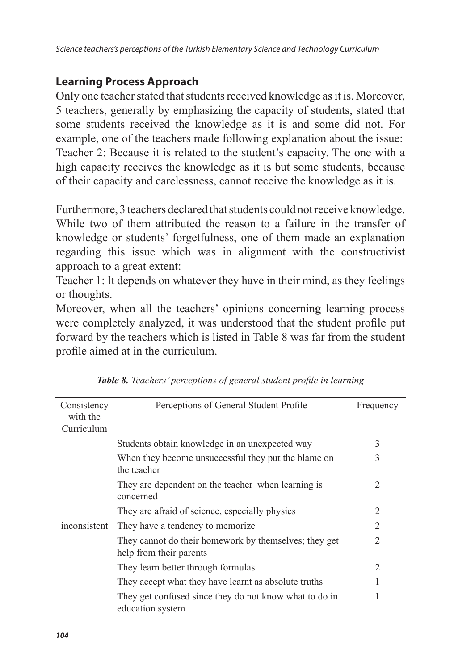## **Learning Process Approach**

Only one teacher stated that students received knowledge as it is. Moreover, 5 teachers, generally by emphasizing the capacity of students, stated that some students received the knowledge as it is and some did not. For example, one of the teachers made following explanation about the issue: Teacher 2: Because it is related to the student's capacity. The one with a high capacity receives the knowledge as it is but some students, because of their capacity and carelessness, cannot receive the knowledge as it is.

Furthermore, 3 teachers declared that students could not receive knowledge. While two of them attributed the reason to a failure in the transfer of knowledge or students' forgetfulness, one of them made an explanation regarding this issue which was in alignment with the constructivist approach to a great extent:

Teacher 1: It depends on whatever they have in their mind, as they feelings or thoughts.

Moreover, when all the teachers' opinions concernin**g** learning process were completely analyzed, it was understood that the student profile put forward by the teachers which is listed in Table 8 was far from the student profile aimed at in the curriculum.

| Consistency<br>with the | Perceptions of General Student Profile                                           | Frequency      |
|-------------------------|----------------------------------------------------------------------------------|----------------|
| Curriculum              |                                                                                  |                |
|                         | Students obtain knowledge in an unexpected way                                   | 3              |
|                         | When they become unsuccessful they put the blame on<br>the teacher               | 3              |
|                         | They are dependent on the teacher when learning is<br>concerned                  | $\mathfrak{D}$ |
|                         | They are afraid of science, especially physics                                   | $\mathfrak{D}$ |
| inconsistent            | They have a tendency to memorize.                                                | $\mathfrak{D}$ |
|                         | They cannot do their homework by themselves; they get<br>help from their parents | 2              |
|                         | They learn better through formulas                                               | 2              |
|                         | They accept what they have learnt as absolute truths                             |                |
|                         | They get confused since they do not know what to do in<br>education system       | 1              |

*Table 8. Teachers' perceptions of general student profile in learning*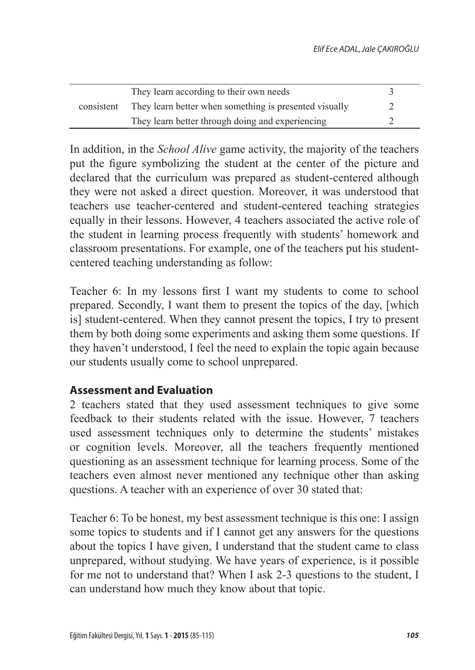| consistent | They learn according to their own needs                |  |
|------------|--------------------------------------------------------|--|
|            | They learn better when something is presented visually |  |
|            | They learn better through doing and experiencing       |  |

In addition, in the *School Alive* game activity, the majority of the teachers put the figure symbolizing the student at the center of the picture and declared that the curriculum was prepared as student-centered although they were not asked a direct question. Moreover, it was understood that teachers use teacher-centered and student-centered teaching strategies equally in their lessons. However, 4 teachers associated the active role of the student in learning process frequently with students' homework and classroom presentations. For example, one of the teachers put his studentcentered teaching understanding as follow:

Teacher 6: In my lessons first I want my students to come to school prepared. Secondly, I want them to present the topics of the day, [which is] student-centered. When they cannot present the topics, I try to present them by both doing some experiments and asking them some questions. If they haven't understood, I feel the need to explain the topic again because our students usually come to school unprepared.

# **Assessment and Evaluation**

2 teachers stated that they used assessment techniques to give some feedback to their students related with the issue. However, 7 teachers used assessment techniques only to determine the students' mistakes or cognition levels. Moreover, all the teachers frequently mentioned questioning as an assessment technique for learning process. Some of the teachers even almost never mentioned any technique other than asking questions. A teacher with an experience of over 30 stated that:

Teacher 6: To be honest, my best assessment technique is this one: I assign some topics to students and if I cannot get any answers for the questions about the topics I have given, I understand that the student came to class unprepared, without studying. We have years of experience, is it possible for me not to understand that? When I ask 2-3 questions to the student, I can understand how much they know about that topic.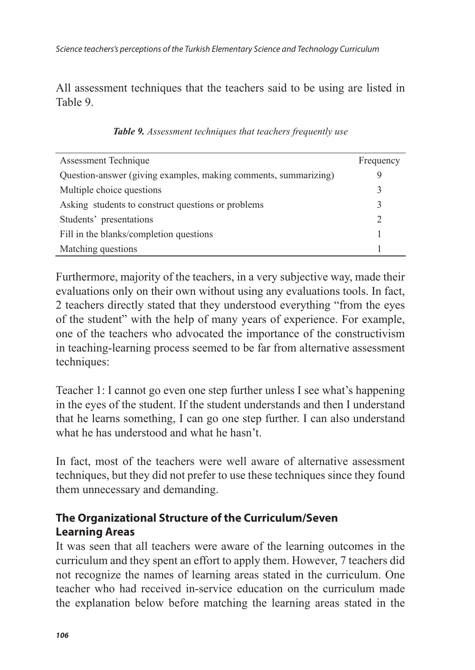All assessment techniques that the teachers said to be using are listed in Table 9.

| Assessment Technique                                            | Frequency     |
|-----------------------------------------------------------------|---------------|
| Question-answer (giving examples, making comments, summarizing) |               |
| Multiple choice questions                                       | 3             |
| Asking students to construct questions or problems              | 3             |
| Students' presentations                                         | $\mathcal{D}$ |
| Fill in the blanks/completion questions                         |               |
| Matching questions                                              |               |

*Table 9. Assessment techniques that teachers frequently use*

Furthermore, majority of the teachers, in a very subjective way, made their evaluations only on their own without using any evaluations tools. In fact, 2 teachers directly stated that they understood everything "from the eyes of the student" with the help of many years of experience. For example, one of the teachers who advocated the importance of the constructivism in teaching-learning process seemed to be far from alternative assessment techniques:

Teacher 1: I cannot go even one step further unless I see what's happening in the eyes of the student. If the student understands and then I understand that he learns something, I can go one step further. I can also understand what he has understood and what he hasn't.

In fact, most of the teachers were well aware of alternative assessment techniques, but they did not prefer to use these techniques since they found them unnecessary and demanding.

# **The Organizational Structure of the Curriculum/Seven Learning Areas**

It was seen that all teachers were aware of the learning outcomes in the curriculum and they spent an effort to apply them. However, 7 teachers did not recognize the names of learning areas stated in the curriculum. One teacher who had received in-service education on the curriculum made the explanation below before matching the learning areas stated in the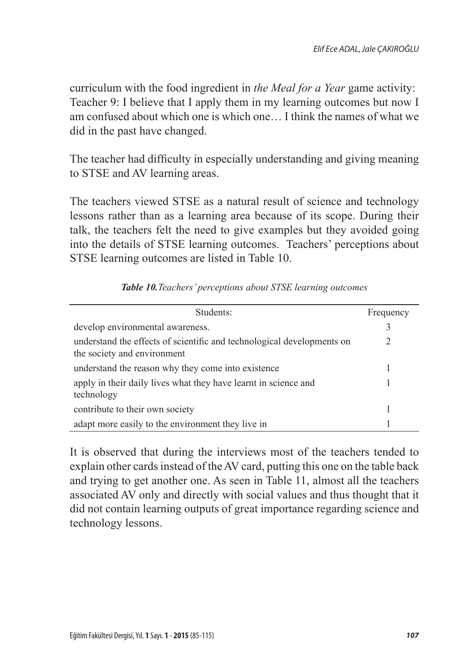curriculum with the food ingredient in *the Meal for a Year* game activity: Teacher 9: I believe that I apply them in my learning outcomes but now I am confused about which one is which one… I think the names of what we did in the past have changed.

The teacher had difficulty in especially understanding and giving meaning to STSE and AV learning areas.

The teachers viewed STSE as a natural result of science and technology lessons rather than as a learning area because of its scope. During their talk, the teachers felt the need to give examples but they avoided going into the details of STSE learning outcomes. Teachers' perceptions about STSE learning outcomes are listed in Table 10.

| Students:                                                                                             | Frequency     |
|-------------------------------------------------------------------------------------------------------|---------------|
| develop environmental awareness.                                                                      | 3             |
| understand the effects of scientific and technological developments on<br>the society and environment | $\mathcal{L}$ |
| understand the reason why they come into existence                                                    |               |
| apply in their daily lives what they have learnt in science and<br>technology                         |               |
| contribute to their own society                                                                       |               |
| adapt more easily to the environment they live in                                                     |               |

*Table 10.Teachers' perceptions about STSE learning outcomes*

It is observed that during the interviews most of the teachers tended to explain other cards instead of the AV card, putting this one on the table back and trying to get another one. As seen in Table 11, almost all the teachers associated AV only and directly with social values and thus thought that it did not contain learning outputs of great importance regarding science and technology lessons.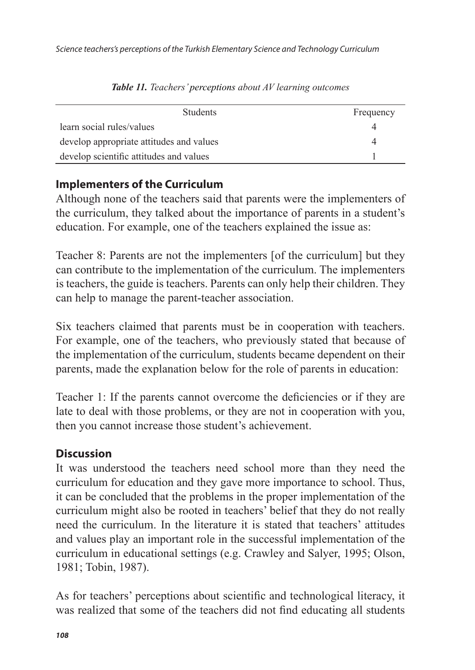| <b>Students</b>                          | Frequency |
|------------------------------------------|-----------|
| learn social rules/values                |           |
| develop appropriate attitudes and values |           |
| develop scientific attitudes and values  |           |

*Table 11. Teachers' perceptions about AV learning outcomes*

# **Implementers of the Curriculum**

Although none of the teachers said that parents were the implementers of the curriculum, they talked about the importance of parents in a student's education. For example, one of the teachers explained the issue as:

Teacher 8: Parents are not the implementers [of the curriculum] but they can contribute to the implementation of the curriculum. The implementers is teachers, the guide is teachers. Parents can only help their children. They can help to manage the parent-teacher association.

Six teachers claimed that parents must be in cooperation with teachers. For example, one of the teachers, who previously stated that because of the implementation of the curriculum, students became dependent on their parents, made the explanation below for the role of parents in education:

Teacher 1: If the parents cannot overcome the deficiencies or if they are late to deal with those problems, or they are not in cooperation with you, then you cannot increase those student's achievement.

# **Discussion**

It was understood the teachers need school more than they need the curriculum for education and they gave more importance to school. Thus, it can be concluded that the problems in the proper implementation of the curriculum might also be rooted in teachers' belief that they do not really need the curriculum. In the literature it is stated that teachers' attitudes and values play an important role in the successful implementation of the curriculum in educational settings (e.g. Crawley and Salyer, 1995; Olson, 1981; Tobin, 1987).

As for teachers' perceptions about scientific and technological literacy, it was realized that some of the teachers did not find educating all students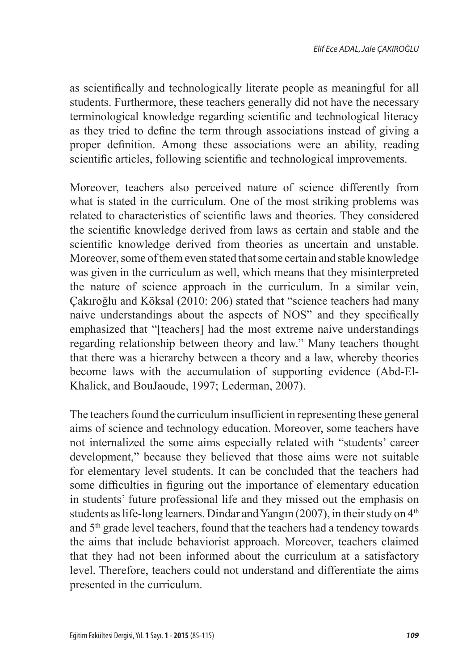as scientifically and technologically literate people as meaningful for all students. Furthermore, these teachers generally did not have the necessary terminological knowledge regarding scientific and technological literacy as they tried to define the term through associations instead of giving a proper definition. Among these associations were an ability, reading scientific articles, following scientific and technological improvements.

Moreover, teachers also perceived nature of science differently from what is stated in the curriculum. One of the most striking problems was related to characteristics of scientific laws and theories. They considered the scientific knowledge derived from laws as certain and stable and the scientific knowledge derived from theories as uncertain and unstable. Moreover, some of them even stated that some certain and stable knowledge was given in the curriculum as well, which means that they misinterpreted the nature of science approach in the curriculum. In a similar vein, Çakıroğlu and Köksal (2010: 206) stated that "science teachers had many naive understandings about the aspects of NOS" and they specifically emphasized that "[teachers] had the most extreme naive understandings regarding relationship between theory and law." Many teachers thought that there was a hierarchy between a theory and a law, whereby theories become laws with the accumulation of supporting evidence (Abd-El-Khalick, and BouJaoude, 1997; Lederman, 2007).

The teachers found the curriculum insufficient in representing these general aims of science and technology education. Moreover, some teachers have not internalized the some aims especially related with "students' career development," because they believed that those aims were not suitable for elementary level students. It can be concluded that the teachers had some difficulties in figuring out the importance of elementary education in students' future professional life and they missed out the emphasis on students as life-long learners. Dindar and Yangın (2007), in their study on  $4<sup>th</sup>$ and 5th grade level teachers, found that the teachers had a tendency towards the aims that include behaviorist approach. Moreover, teachers claimed that they had not been informed about the curriculum at a satisfactory level. Therefore, teachers could not understand and differentiate the aims presented in the curriculum.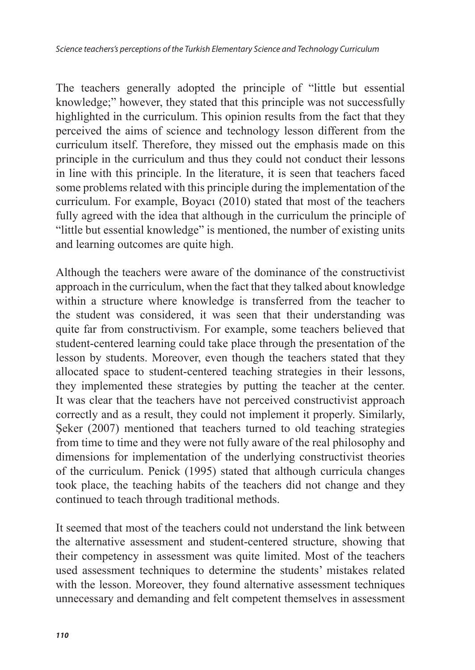The teachers generally adopted the principle of "little but essential knowledge;" however, they stated that this principle was not successfully highlighted in the curriculum. This opinion results from the fact that they perceived the aims of science and technology lesson different from the curriculum itself. Therefore, they missed out the emphasis made on this principle in the curriculum and thus they could not conduct their lessons in line with this principle. In the literature, it is seen that teachers faced some problems related with this principle during the implementation of the curriculum. For example, Boyacı (2010) stated that most of the teachers fully agreed with the idea that although in the curriculum the principle of "little but essential knowledge" is mentioned, the number of existing units and learning outcomes are quite high.

Although the teachers were aware of the dominance of the constructivist approach in the curriculum, when the fact that they talked about knowledge within a structure where knowledge is transferred from the teacher to the student was considered, it was seen that their understanding was quite far from constructivism. For example, some teachers believed that student-centered learning could take place through the presentation of the lesson by students. Moreover, even though the teachers stated that they allocated space to student-centered teaching strategies in their lessons, they implemented these strategies by putting the teacher at the center. It was clear that the teachers have not perceived constructivist approach correctly and as a result, they could not implement it properly. Similarly, Seker (2007) mentioned that teachers turned to old teaching strategies from time to time and they were not fully aware of the real philosophy and dimensions for implementation of the underlying constructivist theories of the curriculum. Penick (1995) stated that although curricula changes took place, the teaching habits of the teachers did not change and they continued to teach through traditional methods.

It seemed that most of the teachers could not understand the link between the alternative assessment and student-centered structure, showing that their competency in assessment was quite limited. Most of the teachers used assessment techniques to determine the students' mistakes related with the lesson. Moreover, they found alternative assessment techniques unnecessary and demanding and felt competent themselves in assessment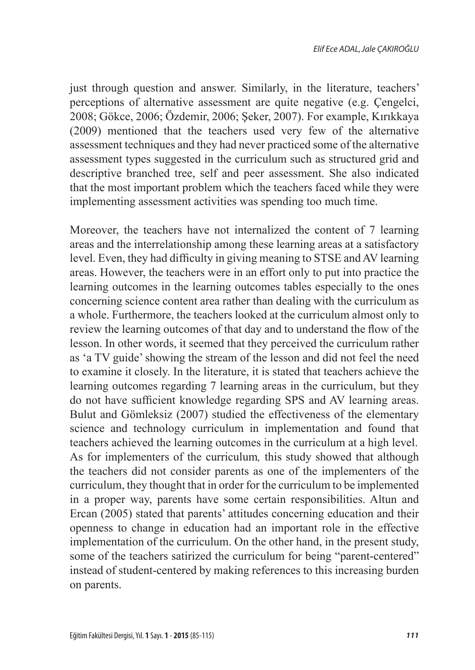just through question and answer. Similarly, in the literature, teachers' perceptions of alternative assessment are quite negative (e.g. Çengelci, 2008; Gökce, 2006; Özdemir, 2006; Şeker, 2007). For example, Kırıkkaya (2009) mentioned that the teachers used very few of the alternative assessment techniques and they had never practiced some of the alternative assessment types suggested in the curriculum such as structured grid and descriptive branched tree, self and peer assessment. She also indicated that the most important problem which the teachers faced while they were implementing assessment activities was spending too much time.

Moreover, the teachers have not internalized the content of 7 learning areas and the interrelationship among these learning areas at a satisfactory level. Even, they had difficulty in giving meaning to STSE and AV learning areas. However, the teachers were in an effort only to put into practice the learning outcomes in the learning outcomes tables especially to the ones concerning science content area rather than dealing with the curriculum as a whole. Furthermore, the teachers looked at the curriculum almost only to review the learning outcomes of that day and to understand the flow of the lesson. In other words, it seemed that they perceived the curriculum rather as 'a TV guide' showing the stream of the lesson and did not feel the need to examine it closely. In the literature, it is stated that teachers achieve the learning outcomes regarding 7 learning areas in the curriculum, but they do not have sufficient knowledge regarding SPS and AV learning areas. Bulut and Gömleksiz (2007) studied the effectiveness of the elementary science and technology curriculum in implementation and found that teachers achieved the learning outcomes in the curriculum at a high level. As for implementers of the curriculum*,* this study showed that although the teachers did not consider parents as one of the implementers of the curriculum, they thought that in order for the curriculum to be implemented in a proper way, parents have some certain responsibilities. Altun and Ercan (2005) stated that parents' attitudes concerning education and their openness to change in education had an important role in the effective implementation of the curriculum. On the other hand, in the present study, some of the teachers satirized the curriculum for being "parent-centered" instead of student-centered by making references to this increasing burden on parents.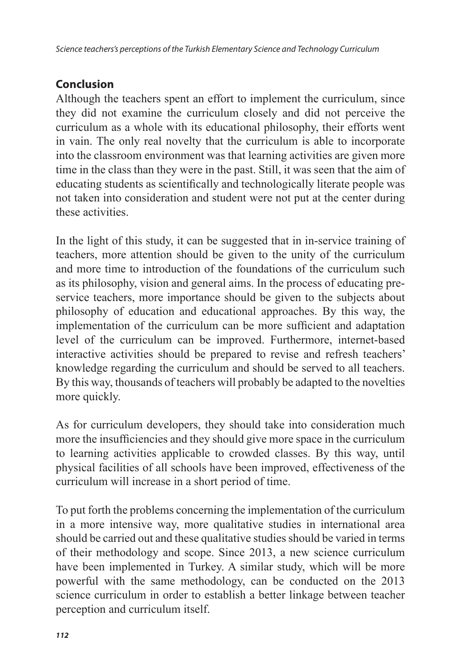# **Conclusion**

Although the teachers spent an effort to implement the curriculum, since they did not examine the curriculum closely and did not perceive the curriculum as a whole with its educational philosophy, their efforts went in vain. The only real novelty that the curriculum is able to incorporate into the classroom environment was that learning activities are given more time in the class than they were in the past. Still, it was seen that the aim of educating students as scientifically and technologically literate people was not taken into consideration and student were not put at the center during these activities.

In the light of this study, it can be suggested that in in-service training of teachers, more attention should be given to the unity of the curriculum and more time to introduction of the foundations of the curriculum such as its philosophy, vision and general aims. In the process of educating preservice teachers, more importance should be given to the subjects about philosophy of education and educational approaches. By this way, the implementation of the curriculum can be more sufficient and adaptation level of the curriculum can be improved. Furthermore, internet-based interactive activities should be prepared to revise and refresh teachers' knowledge regarding the curriculum and should be served to all teachers. By this way, thousands of teachers will probably be adapted to the novelties more quickly.

As for curriculum developers, they should take into consideration much more the insufficiencies and they should give more space in the curriculum to learning activities applicable to crowded classes. By this way, until physical facilities of all schools have been improved, effectiveness of the curriculum will increase in a short period of time.

To put forth the problems concerning the implementation of the curriculum in a more intensive way, more qualitative studies in international area should be carried out and these qualitative studies should be varied in terms of their methodology and scope. Since 2013, a new science curriculum have been implemented in Turkey. A similar study, which will be more powerful with the same methodology, can be conducted on the 2013 science curriculum in order to establish a better linkage between teacher perception and curriculum itself.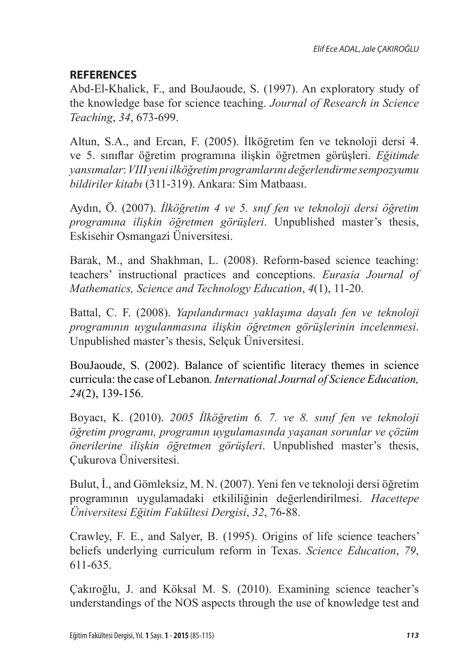# **REFERENCES**

Abd-El-Khalick, F., and BouJaoude, S. (1997). An exploratory study of the knowledge base for science teaching. *Journal of Research in Science Teaching*, *34*, 673-699.

Altun, S.A., and Ercan, F. (2005). İlköğretim fen ve teknoloji dersi 4. ve 5. sınıflar öğretim programına ilişkin öğretmen görüşleri. *Eğitimde yansımalar*: *VIII yeniilköğretim programlarını değerlendirme sempozyumu bildiriler kitabı* (311-319). Ankara: Sim Matbaası.

Aydın, Ö. (2007). *İlköğretim 4 ve 5. snıf fen ve teknoloji dersi öğretim programına ilişkin öğretmen görüşleri*. Unpublished master's thesis, Eskisehir Osmangazi Üniversitesi.

Barak, M., and Shakhman, L. (2008). Reform-based science teaching: teachers' instructional practices and conceptions. *Eurasia Journal of Mathematics, Science and Technology Education*, *4*(1), 11-20.

Battal, C. F. (2008). *Yapılandırmacı yaklaşıma dayalı fen ve teknoloji programının uygulanmasına ilişkin öğretmen görüşlerinin incelenmesi*. Unpublished master's thesis, Selçuk Üniversitesi.

BouJaoude, S. (2002). Balance of scientific literacy themes in science curricula: the case of Lebanon*. International Journal of Science Education, 24*(2), 139-156.

Boyacı, K. (2010). *2005 İlköğretim 6. 7. ve 8. sınıf fen ve teknoloji öğretim programı, programın uygulamasında yaşanan sorunlar ve çözüm önerilerine ilişkin öğretmen görüşleri*. Unpublished master's thesis, Çukurova Üniversitesi.

Bulut, İ., and Gömleksiz, M. N. (2007). Yeni fen ve teknoloji dersi öğretim programının uygulamadaki etkililiğinin değerlendirilmesi. *Hacettepe Üniversitesi Eğitim Fakültesi Dergisi*, *32*, 76-88.

Crawley, F. E., and Salyer, B. (1995). Origins of life science teachers' beliefs underlying curriculum reform in Texas. *Science Education*, *79*, 611-635.

Çakıroğlu, J. and Köksal M. S. (2010). Examining science teacher's understandings of the NOS aspects through the use of knowledge test and